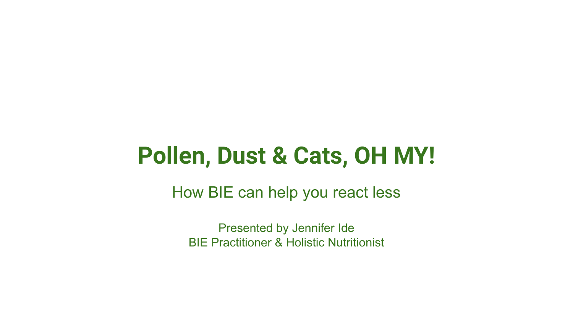## **Pollen, Dust & Cats, OH MY!**

How BIE can help you react less

Presented by Jennifer Ide BIE Practitioner & Holistic Nutritionist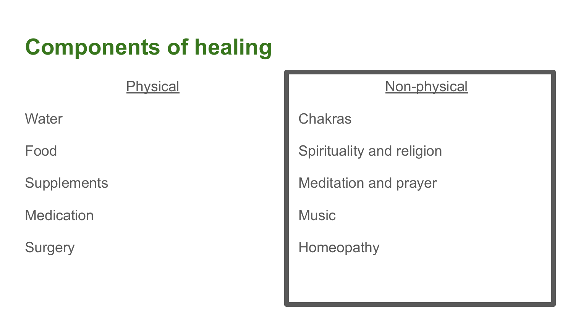## **Components of healing**

**Physical** 

**Water** 

Food

**Supplements** 

**Medication** 

**Surgery** 

### Non-physical

Chakras

Spirituality and religion

Meditation and prayer

**Music** 

Homeopathy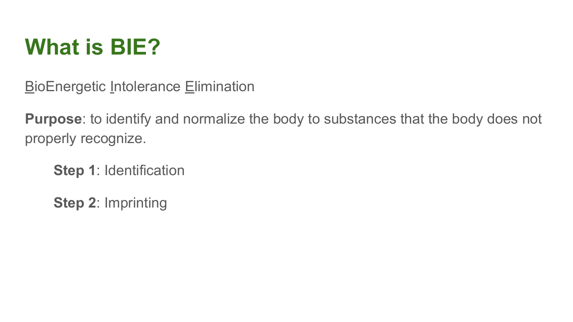## **What is BIE?**

**BioEnergetic Intolerance Elimination** 

**Purpose**: to identify and normalize the body to substances that the body does not properly recognize.

**Step 1**: Identification

**Step 2**: Imprinting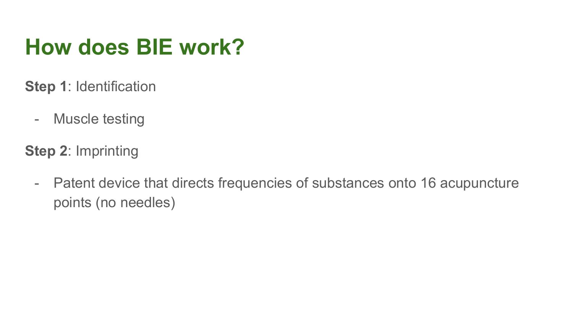## **How does BIE work?**

- **Step 1**: Identification
	- Muscle testing
- **Step 2**: Imprinting
	- Patent device that directs frequencies of substances onto 16 acupuncture points (no needles)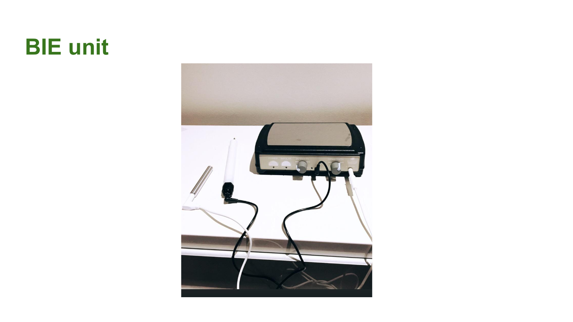## **BIE unit**

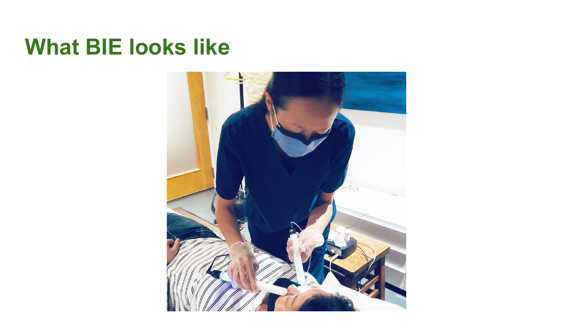## **What BIE looks like**

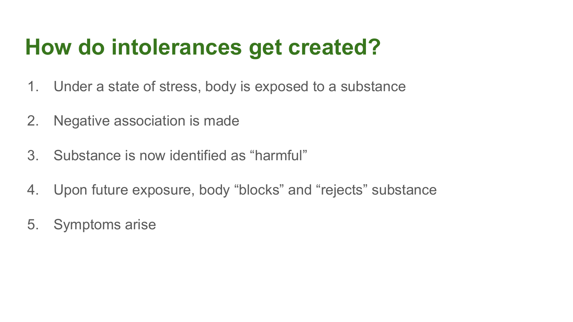## **How do intolerances get created?**

- 1. Under a state of stress, body is exposed to a substance
- 2. Negative association is made
- 3. Substance is now identified as "harmful"
- 4. Upon future exposure, body "blocks" and "rejects" substance
- 5. Symptoms arise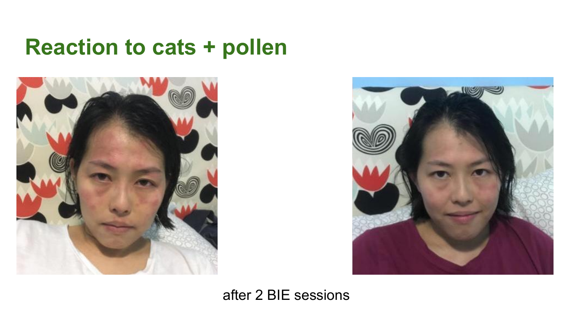### **Reaction to cats + pollen**





#### after 2 BIE sessions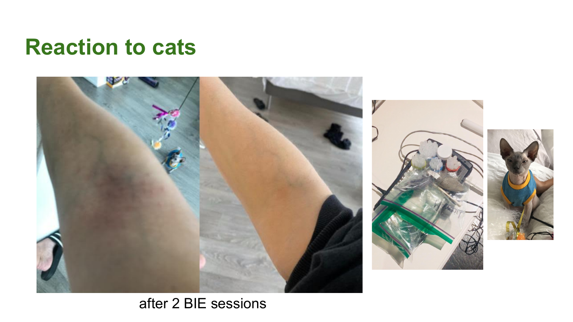### **Reaction to cats**



### after 2 BIE sessions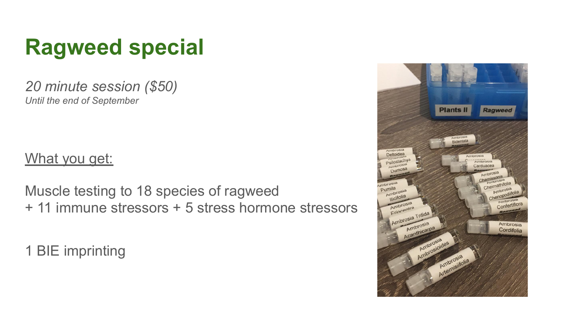# **Ragweed special**

*20 minute session (\$50) Until the end of September*

### What you get:

Muscle testing to 18 species of ragweed + 11 immune stressors + 5 stress hormone stressors

1 BIE imprinting